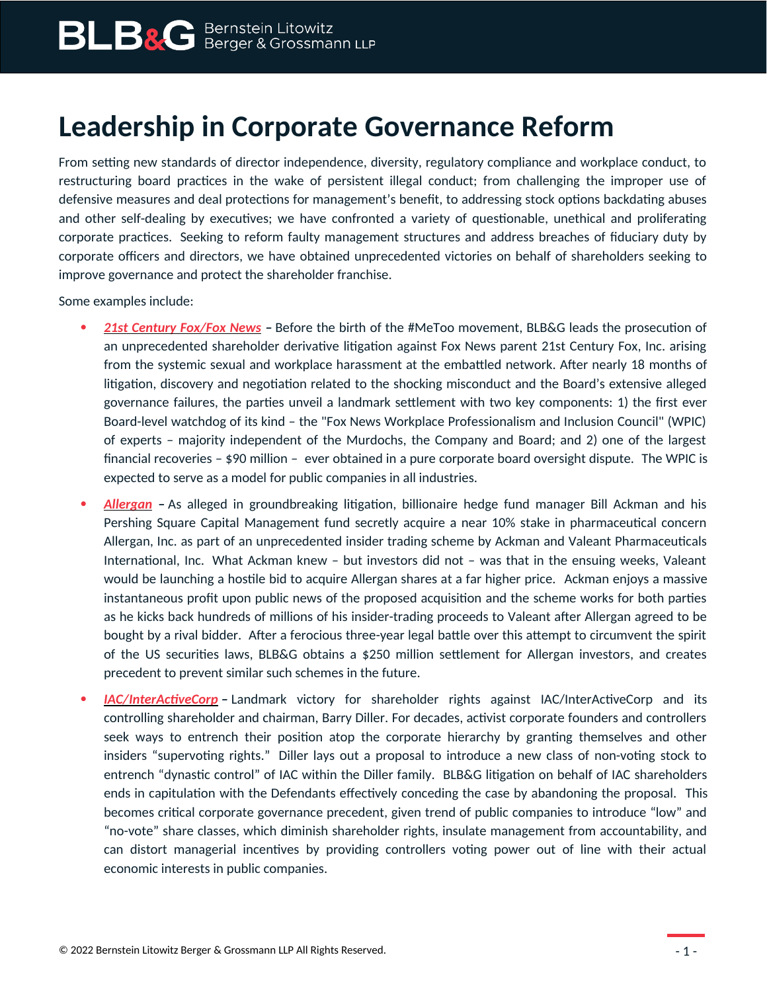## **Leadership in Corporate Governance Reform**

From setting new standards of director independence, diversity, regulatory compliance and workplace conduct, to restructuring board practices in the wake of persistent illegal conduct; from challenging the improper use of defensive measures and deal protections for management's benefit, to addressing stock options backdating abuses and other self-dealing by executives; we have confronted a variety of questionable, unethical and proliferating corporate practices. Seeking to reform faulty management structures and address breaches of fiduciary duty by corporate officers and directors, we have obtained unprecedented victories on behalf of shareholders seeking to improve governance and protect the shareholder franchise.

Some examples include:

- *[21st Century Fox/Fox News](https://www.blbglaw.com/cases/twenty-first-century-fox-inc) –* Before the birth of the #MeToo movement, BLB&G leads the prosecution of an unprecedented shareholder derivative litigation against Fox News parent 21st Century Fox, Inc. arising from the systemic sexual and workplace harassment at the embattled network. After nearly 18 months of litigation, discovery and negotiation related to the shocking misconduct and the Board's extensive alleged governance failures, the parties unveil a landmark settlement with two key components: 1) the first ever Board-level watchdog of its kind – the "Fox News Workplace Professionalism and Inclusion Council" (WPIC) of experts – majority independent of the Murdochs, the Company and Board; and 2) one of the largest financial recoveries – \$90 million – ever obtained in a pure corporate board oversight dispute. The WPIC is expected to serve as a model for public companies in all industries.
- *[Allergan](https://www.blbglaw.com/cases/allergan-inc-proxy-violation) –* As alleged in groundbreaking litigation, billionaire hedge fund manager Bill Ackman and his Pershing Square Capital Management fund secretly acquire a near 10% stake in pharmaceutical concern Allergan, Inc. as part of an unprecedented insider trading scheme by Ackman and Valeant Pharmaceuticals International, Inc. What Ackman knew – but investors did not – was that in the ensuing weeks, Valeant would be launching a hostile bid to acquire Allergan shares at a far higher price. Ackman enjoys a massive instantaneous profit upon public news of the proposed acquisition and the scheme works for both parties as he kicks back hundreds of millions of his insider-trading proceeds to Valeant after Allergan agreed to be bought by a rival bidder. After a ferocious three-year legal battle over this attempt to circumvent the spirit of the US securities laws, BLB&G obtains a \$250 million settlement for Allergan investors, and creates precedent to prevent similar such schemes in the future.
- *[IAC/InterActiveCorp](https://www.blbglaw.com/cases/iac-interactivecorp) –* Landmark victory for shareholder rights against IAC/InterActiveCorp and its controlling shareholder and chairman, Barry Diller. For decades, activist corporate founders and controllers seek ways to entrench their position atop the corporate hierarchy by granting themselves and other insiders "supervoting rights." Diller lays out a proposal to introduce a new class of non-voting stock to entrench "dynastic control" of IAC within the Diller family. BLB&G litigation on behalf of IAC shareholders ends in capitulation with the Defendants effectively conceding the case by abandoning the proposal. This becomes critical corporate governance precedent, given trend of public companies to introduce "low" and "no-vote" share classes, which diminish shareholder rights, insulate management from accountability, and can distort managerial incentives by providing controllers voting power out of line with their actual economic interests in public companies.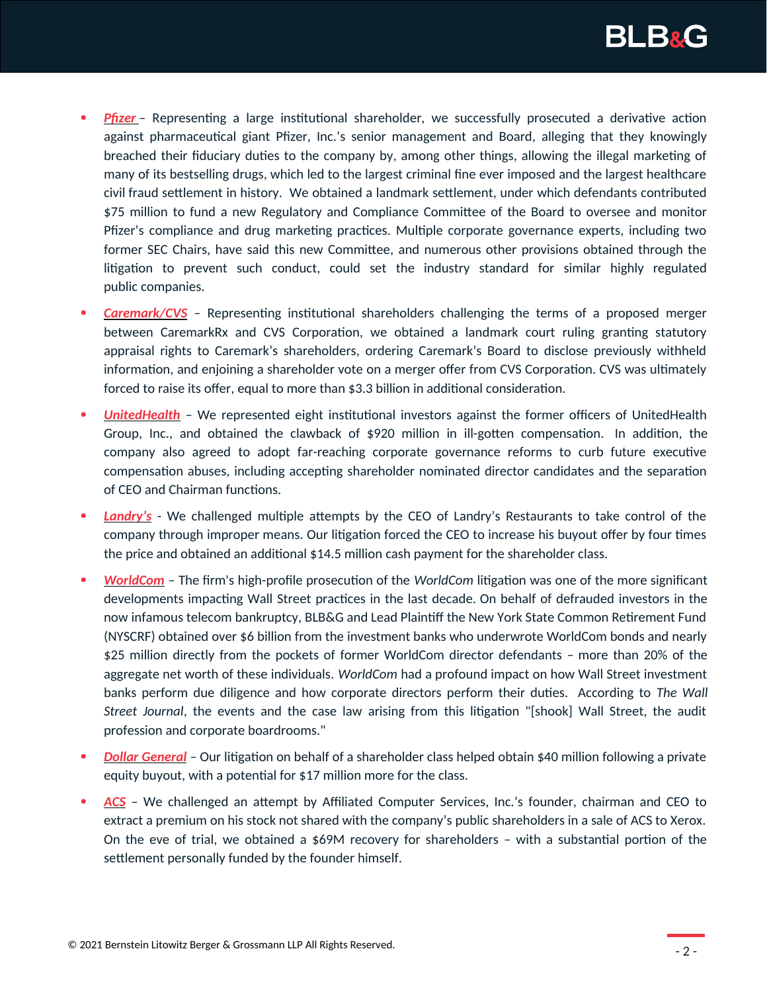

- **• [Pfizer](https://www.blbglaw.com/cases/pfizer-inc)** Representing a large institutional shareholder, we successfully prosecuted a derivative action against pharmaceutical giant Pfizer, Inc.'s senior management and Board, alleging that they knowingly breached their fiduciary duties to the company by, among other things, allowing the illegal marketing of many of its bestselling drugs, which led to the largest criminal fine ever imposed and the largest healthcare civil fraud settlement in history. We obtained a landmark settlement, under which defendants contributed \$75 million to fund a new Regulatory and Compliance Committee of the Board to oversee and monitor Pfizer's compliance and drug marketing practices. Multiple corporate governance experts, including two former SEC Chairs, have said this new Committee, and numerous other provisions obtained through the litigation to prevent such conduct, could set the industry standard for similar highly regulated public companies.
- *[Caremark/CVS](https://www.blbglaw.com/cases/caremark-cvs)* Representing institutional shareholders challenging the terms of a proposed merger between CaremarkRx and CVS Corporation, we obtained a landmark court ruling granting statutory appraisal rights to Caremark's shareholders, ordering Caremark's Board to disclose previously withheld information, and enjoining a shareholder vote on a merger offer from CVS Corporation. CVS was ultimately forced to raise its offer, equal to more than \$3.3 billion in additional consideration.
- *[UnitedHealth](https://www.blbglaw.com/cases/unitedhealth-group-inc)* We represented eight institutional investors against the former officers of UnitedHealth Group, Inc., and obtained the clawback of \$920 million in ill-gotten compensation. In addition, the company also agreed to adopt far-reaching corporate governance reforms to curb future executive compensation abuses, including accepting shareholder nominated director candidates and the separation of CEO and Chairman functions.
- *[Landry's](https://www.blbglaw.com/cases/landrys-restaurants-inc)* We challenged multiple attempts by the CEO of Landry's Restaurants to take control of the company through improper means. Our litigation forced the CEO to increase his buyout offer by four times the price and obtained an additional \$14.5 million cash payment for the shareholder class.
- *[WorldCom](https://www.blbglaw.com/cases/worldcom)* The firm's high-profile prosecution of the *WorldCom* litigation was one of the more significant developments impacting Wall Street practices in the last decade. On behalf of defrauded investors in the now infamous telecom bankruptcy, BLB&G and Lead Plaintiff the New York State Common Retirement Fund (NYSCRF) obtained over \$6 billion from the investment banks who underwrote WorldCom bonds and nearly \$25 million directly from the pockets of former WorldCom director defendants – more than 20% of the aggregate net worth of these individuals. *WorldCom* had a profound impact on how Wall Street investment banks perform due diligence and how corporate directors perform their duties. According to *The Wall Street Journal*, the events and the case law arising from this litigation "[shook] Wall Street, the audit profession and corporate boardrooms."
- *[Dollar General](https://www.blbglaw.com/cases/dollar-general-corporation-shareholder-litigation)* Our litigation on behalf of a shareholder class helped obtain \$40 million following a private equity buyout, with a potential for \$17 million more for the class.
- *[ACS](https://www.blbglaw.com/cases/ACS)* We challenged an attempt by Affiliated Computer Services, Inc.'s founder, chairman and CEO to extract a premium on his stock not shared with the company's public shareholders in a sale of ACS to Xerox. On the eve of trial, we obtained a \$69M recovery for shareholders – with a substantial portion of the settlement personally funded by the founder himself.